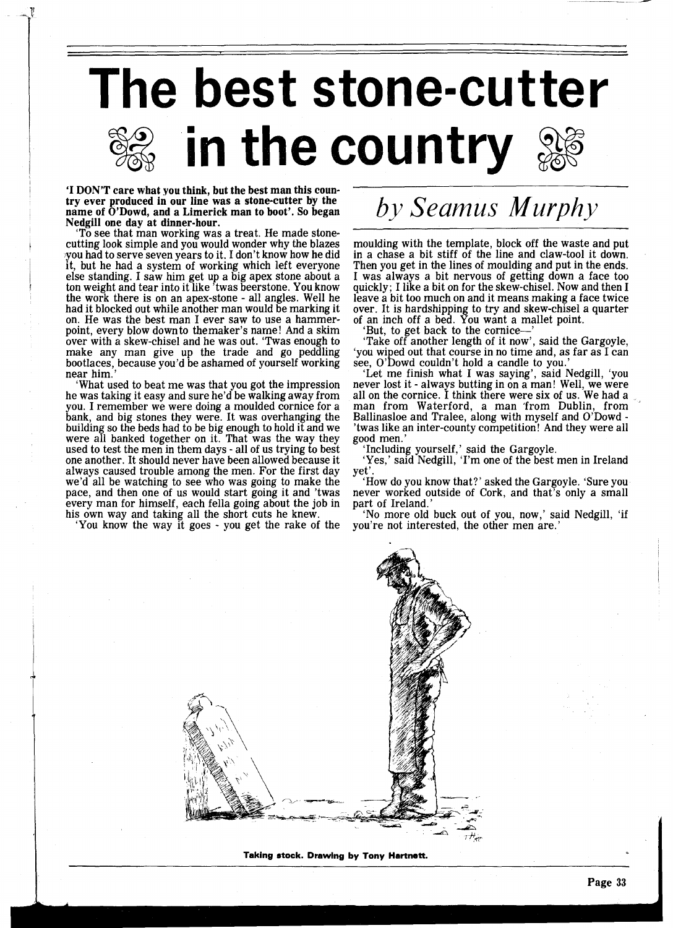## **The best stone-cutter** in the country

**'I DON'T care what you think, but the best man this country ever produced in our line was a stone-cutter by the name of O'Dowd, and a Limerick man to boot'. So began Nedgill one day at dinner-hour.** 

'To see that man working was a treat. He made stonecutting look simple and you would wonder why the blazes you had to serve seven years to it. I don't know how he did<br>it, but he had a system of working which left everyone else standing. I saw him get up a big apex stone about a ton weight and tear into it like 'twas beerstone. You know the work there is on an apex-stone - all angles. Well he had it blocked out while another man would be marking it on. He was the best man I ever saw to use a hammerpoint, every blow down to themaker's name! And a skim<br>over with a skew-chisel and he was out. 'Twas enough to over with a skew-chisel and he was out. 'Twas enough to make any man give up the trade and go peddling bootlaces, because you'd be ashamed of yourself working

near him.'<br>'What used to beat me was that you got the impression he was taking it easy and sure he'd be walking away from you. I remember we were doing a moulded cornice for a bank, and big stones they were. It was overhanging the building so the beds had to be big enough to hold it and we were all banked together on it. That was the way they used to test the men in them days - all of us trying to best one another. It should never have been allowed because it always caused trouble among the men. For the first day we'd all be watching to see who was going to make the pace, and then one of us would start going it and 'twas every man for himself, each fella going about the job in his own way and taking all the short cuts he knew.

'You know the way it goes - you get the rake of the

## *by Seamus Murphy*

moulding with the template, block off the waste and put in a chase a bit stiff of the line and claw-tool it down. Then you get in the lines of moulding and put in the ends. I was always a bit nervous of getting down a face too quickly; I like a bit on for the skew-chisel. Now and then I leave a bit too much on and it means making a face twice over. It is hardshipping to try and skew-chisel a quarter of an inch off a bed. You want a mallet point.

'But, to get back to the cornice-'

'Take off another length of it now', said the Gargoyle, 'you wiped out that course in no time and, as far as I can

see, O'Dowd couldn't hold a candle to you.' 'Let me finish what I was saying', said Nedgill, 'you never lost it - always butting in on a man! Well, we were all on the cornice. I think there were six of us. We had a man from Waterford, a man 'from Dublin, from ' Ballinasloe and Tralee, along with myself and O'Dowd - 'twas like an inter-county competition! And they were all good men.'

'Including yourself,' said the Gargoyle.<br>'Yes,' said Nedgill, 'I'm one of the best men in Ireland ye!'.

How do you know that?' asked the Gargoyle. 'Sure you never worked outside of Cork, and that's only a small part of Ireland.

'No more old buck out of you, now,' said Nedgill, 'if you're not interested, the other men are.'



**Taking stock. Drawing by Tony Hartnett.**